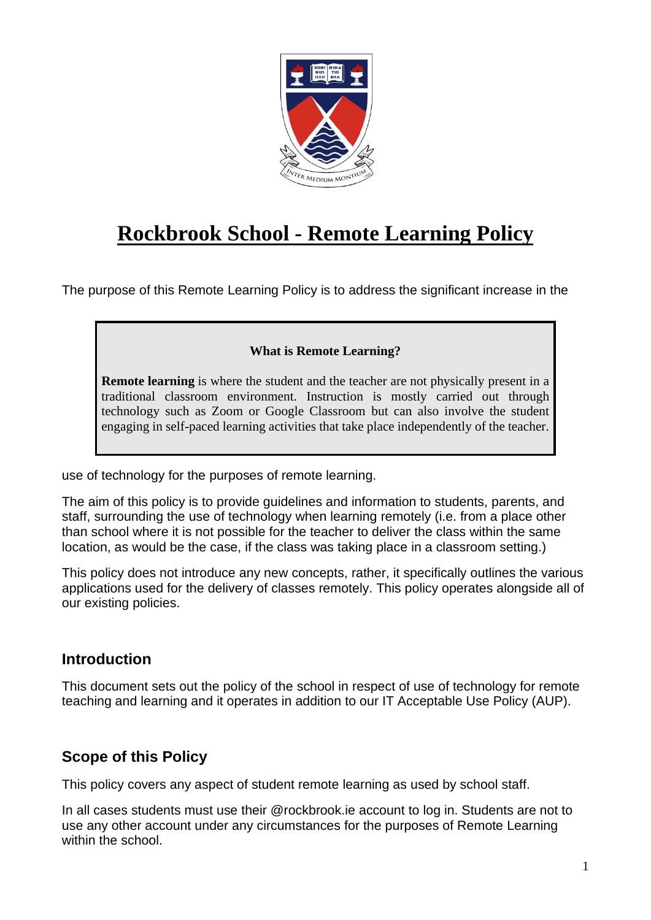

# **Rockbrook School - Remote Learning Policy**

The purpose of this Remote Learning Policy is to address the significant increase in the

### **What is Remote Learning?**

**Remote learning** is where the student and the teacher are not physically present in a traditional classroom environment. Instruction is mostly carried out through technology such as Zoom or Google Classroom but can also involve the student engaging in self-paced learning activities that take place independently of the teacher.

use of technology for the purposes of remote learning.

The aim of this policy is to provide guidelines and information to students, parents, and staff, surrounding the use of technology when learning remotely (i.e. from a place other than school where it is not possible for the teacher to deliver the class within the same location, as would be the case, if the class was taking place in a classroom setting.)

This policy does not introduce any new concepts, rather, it specifically outlines the various applications used for the delivery of classes remotely. This policy operates alongside all of our existing policies.

### **Introduction**

This document sets out the policy of the school in respect of use of technology for remote teaching and learning and it operates in addition to our IT Acceptable Use Policy (AUP).

# **Scope of this Policy**

This policy covers any aspect of student remote learning as used by school staff.

In all cases students must use their @rockbrook.ie account to log in. Students are not to use any other account under any circumstances for the purposes of Remote Learning within the school.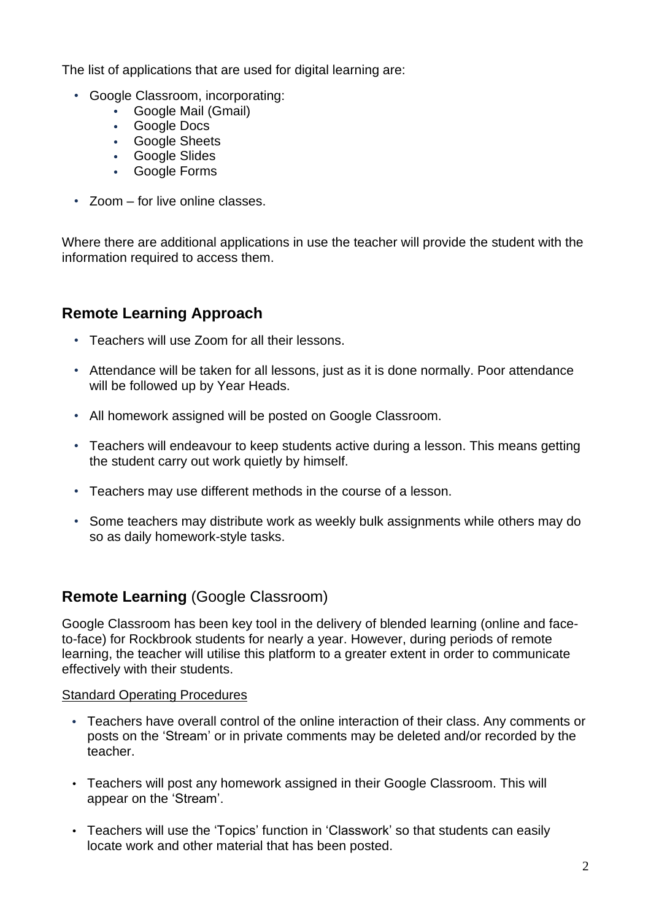The list of applications that are used for digital learning are:

- Google Classroom, incorporating:
	- Google Mail (Gmail)
	- Google Docs
	- Google Sheets
	- Google Slides
	- Google Forms
- Zoom for live online classes.

Where there are additional applications in use the teacher will provide the student with the information required to access them.

### **Remote Learning Approach**

- Teachers will use Zoom for all their lessons.
- Attendance will be taken for all lessons, just as it is done normally. Poor attendance will be followed up by Year Heads.
- All homework assigned will be posted on Google Classroom.
- Teachers will endeavour to keep students active during a lesson. This means getting the student carry out work quietly by himself.
- Teachers may use different methods in the course of a lesson.
- Some teachers may distribute work as weekly bulk assignments while others may do so as daily homework-style tasks.

### **Remote Learning** (Google Classroom)

Google Classroom has been key tool in the delivery of blended learning (online and faceto-face) for Rockbrook students for nearly a year. However, during periods of remote learning, the teacher will utilise this platform to a greater extent in order to communicate effectively with their students.

#### Standard Operating Procedures

- Teachers have overall control of the online interaction of their class. Any comments or posts on the 'Stream' or in private comments may be deleted and/or recorded by the teacher.
- Teachers will post any homework assigned in their Google Classroom. This will appear on the 'Stream'.
- Teachers will use the 'Topics' function in 'Classwork' so that students can easily locate work and other material that has been posted.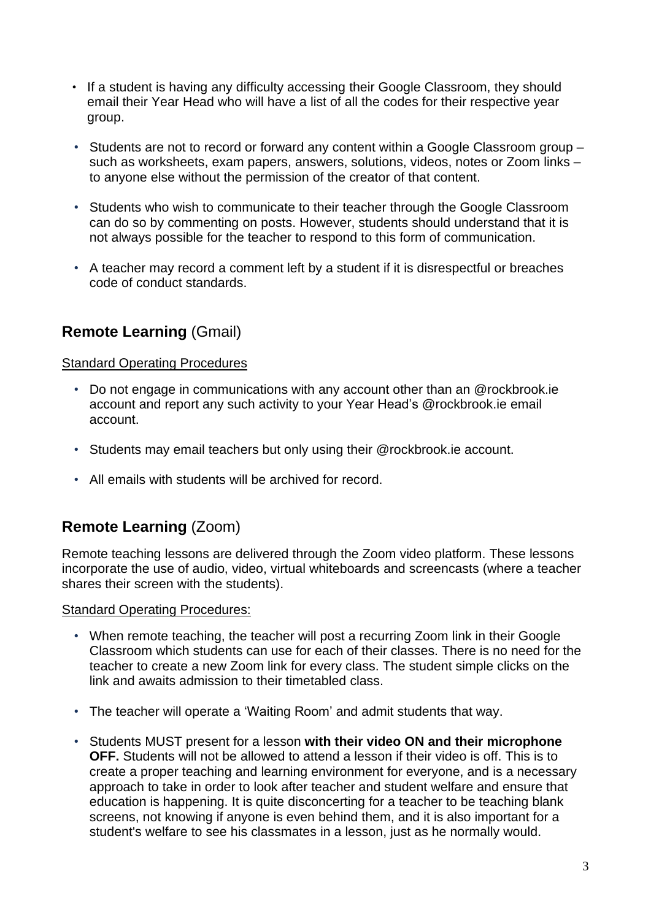- If a student is having any difficulty accessing their Google Classroom, they should email their Year Head who will have a list of all the codes for their respective year group.
- Students are not to record or forward any content within a Google Classroom group such as worksheets, exam papers, answers, solutions, videos, notes or Zoom links – to anyone else without the permission of the creator of that content.
- Students who wish to communicate to their teacher through the Google Classroom can do so by commenting on posts. However, students should understand that it is not always possible for the teacher to respond to this form of communication.
- A teacher may record a comment left by a student if it is disrespectful or breaches code of conduct standards.

# **Remote Learning** (Gmail)

#### Standard Operating Procedures

- Do not engage in communications with any account other than an @rockbrook.ie account and report any such activity to your Year Head's @rockbrook.ie email account.
- Students may email teachers but only using their @rockbrook.ie account.
- All emails with students will be archived for record.

# **Remote Learning** (Zoom)

Remote teaching lessons are delivered through the Zoom video platform. These lessons incorporate the use of audio, video, virtual whiteboards and screencasts (where a teacher shares their screen with the students).

#### Standard Operating Procedures:

- When remote teaching, the teacher will post a recurring Zoom link in their Google Classroom which students can use for each of their classes. There is no need for the teacher to create a new Zoom link for every class. The student simple clicks on the link and awaits admission to their timetabled class.
- The teacher will operate a 'Waiting Room' and admit students that way.
- Students MUST present for a lesson **with their video ON and their microphone OFF.** Students will not be allowed to attend a lesson if their video is off. This is to create a proper teaching and learning environment for everyone, and is a necessary approach to take in order to look after teacher and student welfare and ensure that education is happening. It is quite disconcerting for a teacher to be teaching blank screens, not knowing if anyone is even behind them, and it is also important for a student's welfare to see his classmates in a lesson, just as he normally would.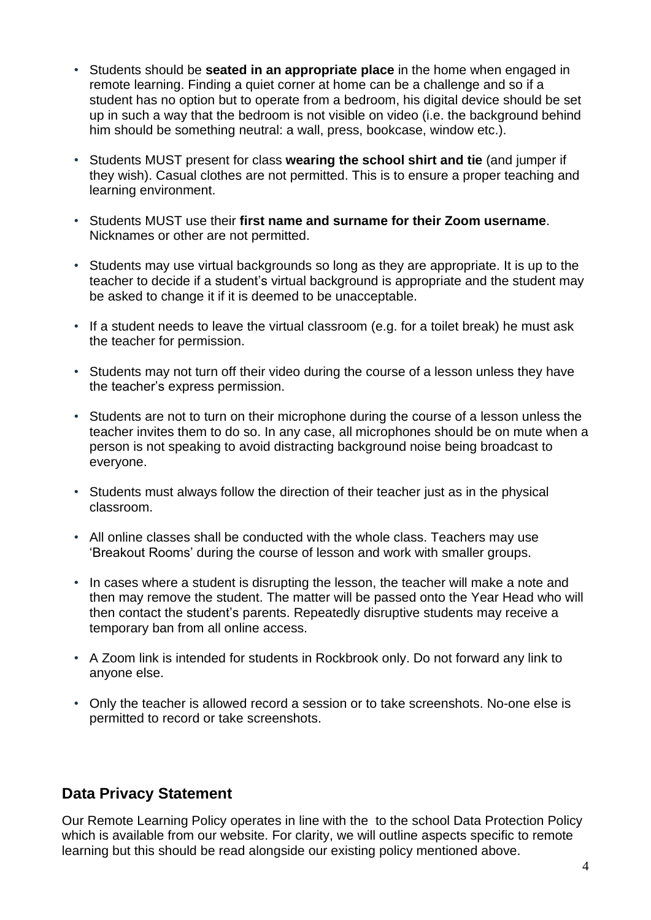- Students should be **seated in an appropriate place** in the home when engaged in remote learning. Finding a quiet corner at home can be a challenge and so if a student has no option but to operate from a bedroom, his digital device should be set up in such a way that the bedroom is not visible on video (i.e. the background behind him should be something neutral: a wall, press, bookcase, window etc.).
- Students MUST present for class **wearing the school shirt and tie** (and jumper if they wish). Casual clothes are not permitted. This is to ensure a proper teaching and learning environment.
- Students MUST use their **first name and surname for their Zoom username**. Nicknames or other are not permitted.
- Students may use virtual backgrounds so long as they are appropriate. It is up to the teacher to decide if a student's virtual background is appropriate and the student may be asked to change it if it is deemed to be unacceptable.
- If a student needs to leave the virtual classroom (e.g. for a toilet break) he must ask the teacher for permission.
- Students may not turn off their video during the course of a lesson unless they have the teacher's express permission.
- Students are not to turn on their microphone during the course of a lesson unless the teacher invites them to do so. In any case, all microphones should be on mute when a person is not speaking to avoid distracting background noise being broadcast to everyone.
- Students must always follow the direction of their teacher just as in the physical classroom.
- All online classes shall be conducted with the whole class. Teachers may use 'Breakout Rooms' during the course of lesson and work with smaller groups.
- In cases where a student is disrupting the lesson, the teacher will make a note and then may remove the student. The matter will be passed onto the Year Head who will then contact the student's parents. Repeatedly disruptive students may receive a temporary ban from all online access.
- A Zoom link is intended for students in Rockbrook only. Do not forward any link to anyone else.
- Only the teacher is allowed record a session or to take screenshots. No-one else is permitted to record or take screenshots.

### **Data Privacy Statement**

Our Remote Learning Policy operates in line with the to the school Data Protection Policy which is available from our website. For clarity, we will outline aspects specific to remote learning but this should be read alongside our existing policy mentioned above.